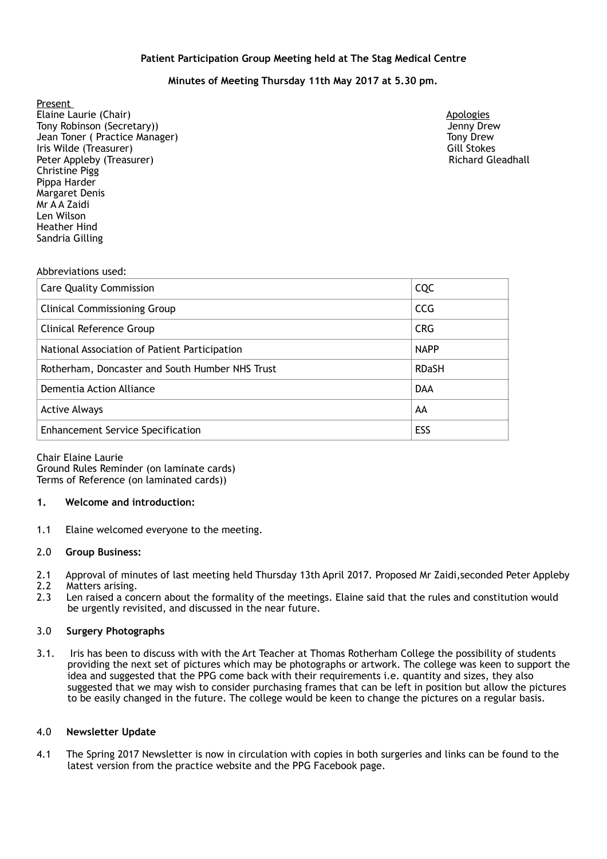### **Patient Participation Group Meeting held at The Stag Medical Centre**

# **Minutes of Meeting Thursday 11th May 2017 at 5.30 pm.**

Present Elaine Laurie (Chair) **Apologies Apologies Apologies Apologies Apologies Apologies** Tony Robinson (Secretary)) Jenny Drew Jean Toner ( Practice Manager) Tony Drew Iris Wilde (Treasurer) Gill Stokes Peter Appleby (Treasurer) Christine Pigg Pippa Harder Margaret Denis Mr A A Zaidi Len Wilson Heather Hind Sandria Gilling

### Abbreviations used:

| <b>Care Quality Commission</b>                  | <b>CQC</b>   |
|-------------------------------------------------|--------------|
| <b>Clinical Commissioning Group</b>             | <b>CCG</b>   |
| Clinical Reference Group                        | <b>CRG</b>   |
| National Association of Patient Participation   | <b>NAPP</b>  |
| Rotherham, Doncaster and South Humber NHS Trust | <b>RDaSH</b> |
| Dementia Action Alliance                        | <b>DAA</b>   |
| <b>Active Always</b>                            | AA           |
| <b>Enhancement Service Specification</b>        | ESS          |

Chair Elaine Laurie Ground Rules Reminder (on laminate cards) Terms of Reference (on laminated cards))

### **1. Welcome and introduction:**

1.1 Elaine welcomed everyone to the meeting.

### 2.0 **Group Business:**

- 2.1 Approval of minutes of last meeting held Thursday 13th April 2017. Proposed Mr Zaidi,seconded Peter Appleby
- 2.2 Matters arising.
- 2.3 Len raised a concern about the formality of the meetings. Elaine said that the rules and constitution would be urgently revisited, and discussed in the near future.

## 3.0 **Surgery Photographs**

3.1. Iris has been to discuss with with the Art Teacher at Thomas Rotherham College the possibility of students providing the next set of pictures which may be photographs or artwork. The college was keen to support the idea and suggested that the PPG come back with their requirements i.e. quantity and sizes, they also suggested that we may wish to consider purchasing frames that can be left in position but allow the pictures to be easily changed in the future. The college would be keen to change the pictures on a regular basis.

### 4.0 **Newsletter Update**

4.1 The Spring 2017 Newsletter is now in circulation with copies in both surgeries and links can be found to the latest version from the practice website and the PPG Facebook page.